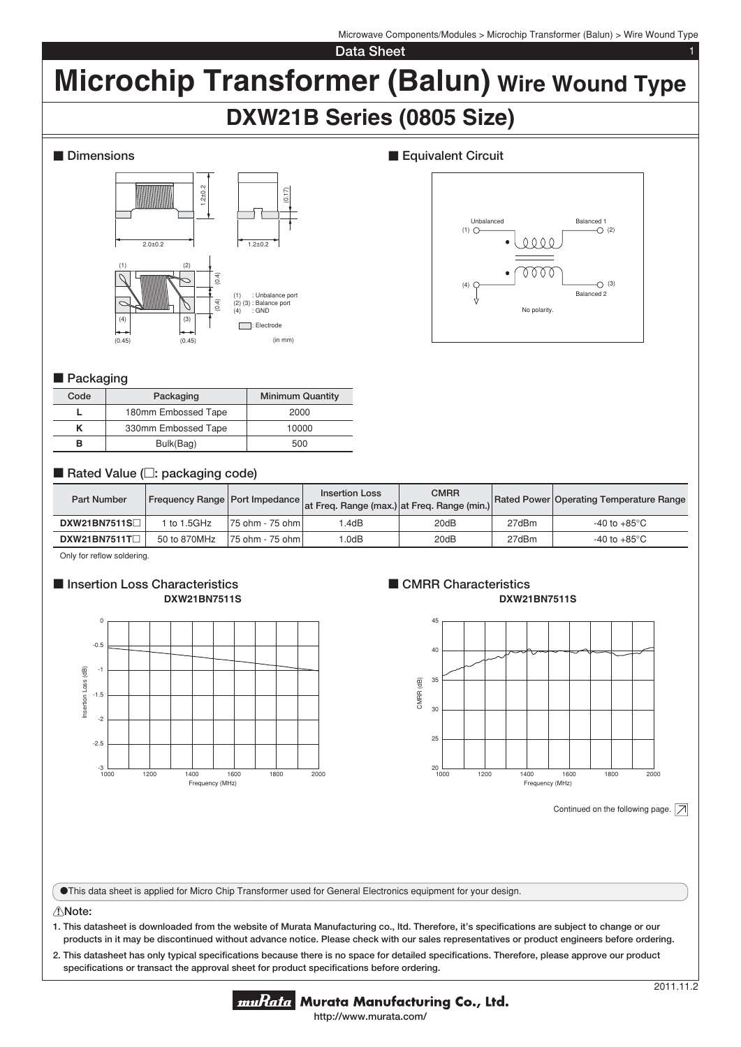Microwave Components/Modules > Microchip Transformer (Balun) > Wire Wound Type

**Data Sheet** 

# **Microchip Transformer (Balun) Wire Wound Type**

# **DXW21B Series (0805 Size)**

## **Dimensions**



# **Equivalent Circuit**



### **Packaging**

| Code | Packaging           | <b>Minimum Quantity</b> |  |  |
|------|---------------------|-------------------------|--|--|
|      | 180mm Embossed Tape | 2000                    |  |  |
|      | 330mm Embossed Tape | 10000                   |  |  |
|      | Bulk(Bag)           | 500                     |  |  |

# ■ Rated Value (□: packaging code)

| <b>Part Number</b>  | Frequency Range   Port Impedance |                    | <b>Insertion Loss</b><br>at Freq. Range (max.) at Freq. Range (min.) | <b>CMRR</b> |       | Rated Power Operating Temperature Range |
|---------------------|----------------------------------|--------------------|----------------------------------------------------------------------|-------------|-------|-----------------------------------------|
| <b>DXW21BN7511S</b> | to 1.5GHz                        | 75 ohm - 75 ohm l  | .4dB                                                                 | 20dB        | 27dBm | -40 to +85°C $\,$                       |
| DXW21BN7511T        | 50 to 870MHz                     | 175 ohm - 75 ohm l | .0dB                                                                 | 20dB        | 27dBm | -40 to +85°C                            |

Only for reflow soldering.

#### **Exercise Insertion Loss Characteristics DXW21BN7511S**



#### **CMRR Characteristics DXW21BN7511S**



Continued on the following page.  $\boxed{\nearrow}$ 

oThis data sheet is applied for Micro Chip Transformer used for General Electronics equipment for your design.

#### !**Note:**

**1. This datasheet is downloaded from the website of Murata Manufacturing co., ltd. Therefore, it's specifi cations are subject to change or our products in it may be discontinued without advance notice. Please check with our sales representatives or product engineers before ordering.**

2. This datasheet has only typical specifications because there is no space for detailed specifications. Therefore, please approve our product specifications or transact the approval sheet for product specifications before ordering.